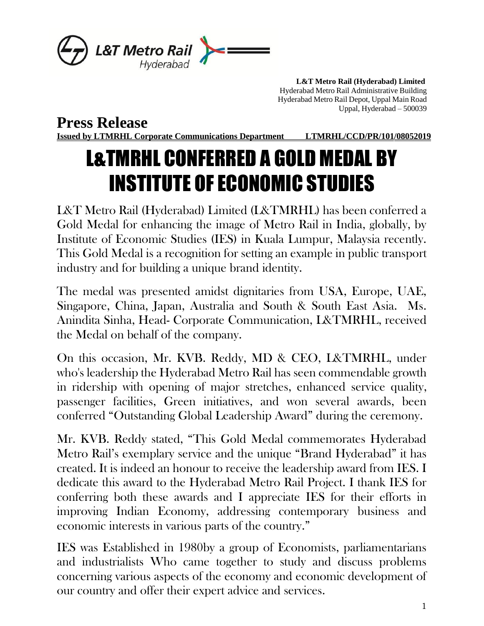

 **L&T Metro Rail (Hyderabad) Limited** Hyderabad Metro Rail Administrative Building Hyderabad Metro Rail Depot, Uppal Main Road Uppal, Hyderabad – 500039

**Press Release**

**Issued by LTMRHL Corporate Communications Department LTMRHL/CCD/PR/101/08052019**

## L&TMRHL CONFERRED A GOLD MEDAL BY INSTITUTE OF ECONOMIC STUDIES

L&T Metro Rail (Hyderabad) Limited (L&TMRHL) has been conferred a Gold Medal for enhancing the image of Metro Rail in India, globally, by Institute of Economic Studies (IES) in Kuala Lumpur, Malaysia recently. This Gold Medal is a recognition for setting an example in public transport industry and for building a unique brand identity.

The medal was presented amidst dignitaries from USA, Europe, UAE, Singapore, China, Japan, Australia and South & South East Asia. Ms. Anindita Sinha, Head- Corporate Communication, L&TMRHL, received the Medal on behalf of the company.

On this occasion, Mr. KVB. Reddy, MD & CEO, L&TMRHL, under who's leadership the Hyderabad Metro Rail has seen commendable growth in ridership with opening of major stretches, enhanced service quality, passenger facilities, Green initiatives, and won several awards, been conferred "Outstanding Global Leadership Award" during the ceremony.

Mr. KVB. Reddy stated, "This Gold Medal commemorates Hyderabad Metro Rail's exemplary service and the unique "Brand Hyderabad" it has created. It is indeed an honour to receive the leadership award from IES. I dedicate this award to the Hyderabad Metro Rail Project. I thank IES for conferring both these awards and I appreciate IES for their efforts in improving Indian Economy, addressing contemporary business and economic interests in various parts of the country." Ì

IES was Established in 1980by a group of Economists, parliamentarians and industrialists Who came together to study and discuss problems concerning various aspects of the economy and economic development of our country and offer their expert advice and services.